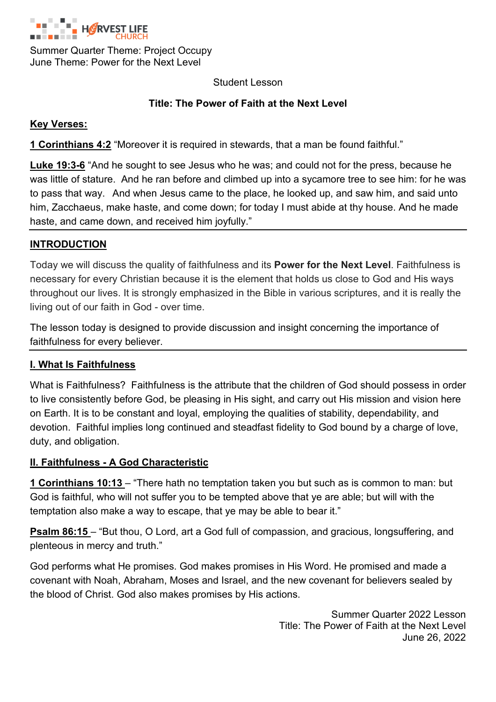

Summer Quarter Theme: Project Occupy June Theme: Power for the Next Level

Student Lesson

## **Title: The Power of Faith at the Next Level**

#### **Key Verses:**

**1 Corinthians 4:2** "Moreover it is required in stewards, that a man be found faithful."

**Luke 19:3-6** "And he sought to see Jesus who he was; and could not for the press, because he was little of stature. And he ran before and climbed up into a sycamore tree to see him: for he was to pass that way. And when Jesus came to the place, he looked up, and saw him, and said unto him, Zacchaeus, make haste, and come down; for today I must abide at thy house. And he made haste, and came down, and received him joyfully."

### **INTRODUCTION**

Today we will discuss the quality of faithfulness and its **Power for the Next Level**. Faithfulness is necessary for every Christian because it is the element that holds us close to God and His ways throughout our lives. It is strongly emphasized in the Bible in various scriptures, and it is really the living out of our faith in God - over time.

The lesson today is designed to provide discussion and insight concerning the importance of faithfulness for every believer.

### **I. What Is Faithfulness**

What is Faithfulness? Faithfulness is the attribute that the children of God should possess in order to live consistently before God, be pleasing in His sight, and carry out His mission and vision here on Earth. It is to be constant and loyal, employing the qualities of stability, dependability, and devotion. Faithful implies long continued and steadfast fidelity to God bound by a charge of love, duty, and obligation.

### **II. Faithfulness - A God Characteristic**

**1 Corinthians 10:13** – "There hath no temptation taken you but such as is common to man: but God is faithful, who will not suffer you to be tempted above that ye are able; but will with the temptation also make a way to escape, that ye may be able to bear it."

**Psalm 86:15** – "But thou, O Lord, art a God full of compassion, and gracious, longsuffering, and plenteous in mercy and truth."

God performs what He promises. God makes promises in His Word. He promised and made a covenant with Noah, Abraham, Moses and Israel, and the new covenant for believers sealed by the blood of Christ. God also makes promises by His actions.

> Summer Quarter 2022 Lesson Title: The Power of Faith at the Next Level June 26, 2022